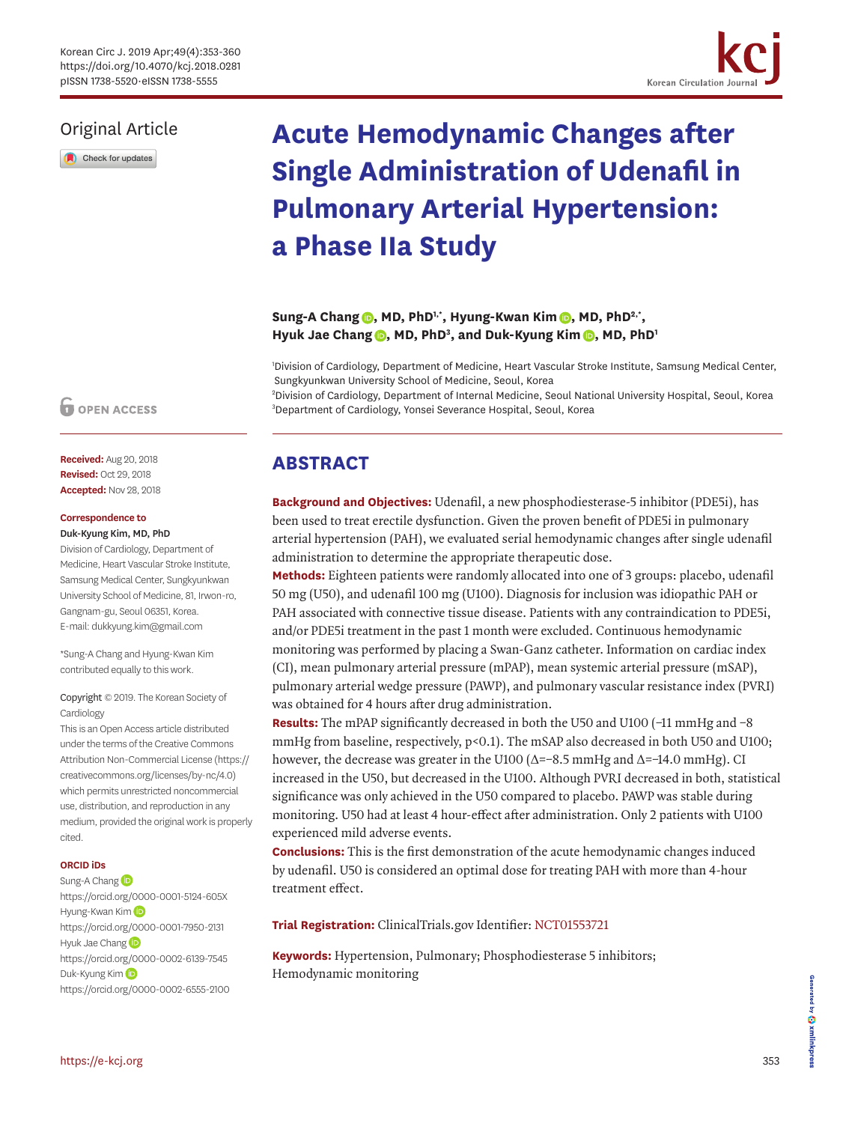# Original Article

Check for updates



Korean Circulation

**Sung-A Chang <b>D**[,](https://orcid.org/0000-0001-7950-2131) MD, PhD<sup>1,\*</sup>, Hyung-Kwan Kim **D**, MD, PhD<sup>2,\*</sup>, **Hyuk Jae Chang (D[,](https://orcid.org/0000-0002-6555-2100) MD, PhD<sup>3</sup>, and Duk-Kyung Kim (D, MD, PhD<sup>1</sup>)** 

1 Division of Cardiology, Department of Medicine, Heart Vascular Stroke Institute, Samsung Medical Center, Sungkyunkwan University School of Medicine, Seoul, Korea 2 Division of Cardiology, Department of Internal Medicine, Seoul National University Hospital, Seoul, Korea

3 Department of Cardiology, Yonsei Severance Hospital, Seoul, Korea

# **ABSTRACT**

**Background and Objectives:** Udenafil, a new phosphodiesterase-5 inhibitor (PDE5i), has been used to treat erectile dysfunction. Given the proven benefit of PDE5i in pulmonary arterial hypertension (PAH), we evaluated serial hemodynamic changes after single udenafil administration to determine the appropriate therapeutic dose.

**Methods:** Eighteen patients were randomly allocated into one of 3 groups: placebo, udenafil 50 mg (U50), and udenafil 100 mg (U100). Diagnosis for inclusion was idiopathic PAH or PAH associated with connective tissue disease. Patients with any contraindication to PDE5i, and/or PDE5i treatment in the past 1 month were excluded. Continuous hemodynamic monitoring was performed by placing a Swan-Ganz catheter. Information on cardiac index (CI), mean pulmonary arterial pressure (mPAP), mean systemic arterial pressure (mSAP), pulmonary arterial wedge pressure (PAWP), and pulmonary vascular resistance index (PVRI) was obtained for 4 hours after drug administration.

**Results:** The mPAP significantly decreased in both the U50 and U100 (−11 mmHg and −8 mmHg from baseline, respectively,  $p<0.1$ ). The mSAP also decreased in both U50 and U100; however, the decrease was greater in the U100 ( $\Delta$ =−8.5 mmHg and  $\Delta$ =−14.0 mmHg). CI increased in the U50, but decreased in the U100. Although PVRI decreased in both, statistical significance was only achieved in the U50 compared to placebo. PAWP was stable during monitoring. U50 had at least 4 hour-effect after administration. Only 2 patients with U100 experienced mild adverse events.

**Conclusions:** This is the first demonstration of the acute hemodynamic changes induced by udenafil. U50 is considered an optimal dose for treating PAH with more than 4-hour treatment effect.

## **Trial Registration:** ClinicalTrials.gov Identifier: [NCT01553721](http://clinicaltrials.gov/ct2/show/NCT01553721)

**Keywords:** Hypertension, Pulmonary; Phosphodiesterase 5 inhibitors; Hemodynamic monitoring

# **OPEN ACCESS**

**Received:** Aug 20, 2018 **Revised:** Oct 29, 2018 **Accepted:** Nov 28, 2018

### **Correspondence to**

Duk-Kyung Kim, MD, PhD

Division of Cardiology, Department of Medicine, Heart Vascular Stroke Institute, Samsung Medical Center, Sungkyunkwan University School of Medicine, 81, Irwon-ro, Gangnam-gu, Seoul 06351, Korea. E-mail: dukkyung.kim@gmail.com

\*Sung-A Chang and Hyung-Kwan Kim contributed equally to this work.

Copyright © 2019. The Korean Society of Cardiology

This is an Open Access article distributed under the terms of the Creative Commons Attribution Non-Commercial License [\(https://](https://creativecommons.org/licenses/by-nc/4.0) [creativecommons.org/licenses/by-nc/4.0](https://creativecommons.org/licenses/by-nc/4.0)) which permits unrestricted noncommercial use, distribution, and reproduction in any medium, provided the original work is properly cited.

### **ORCID iDs**

Sung-A Chan[g](https://orcid.org/0000-0001-5124-605X) (D <https://orcid.org/0000-0001-5124-605X> Hyung-Kwan Ki[m](https://orcid.org/0000-0001-7950-2131) (iD <https://orcid.org/0000-0001-7950-2131> Hyuk Jae Chan[g](https://orcid.org/0000-0002-6139-7545) D <https://orcid.org/0000-0002-6139-7545> Duk-Kyung Kim <https://orcid.org/0000-0002-6555-2100>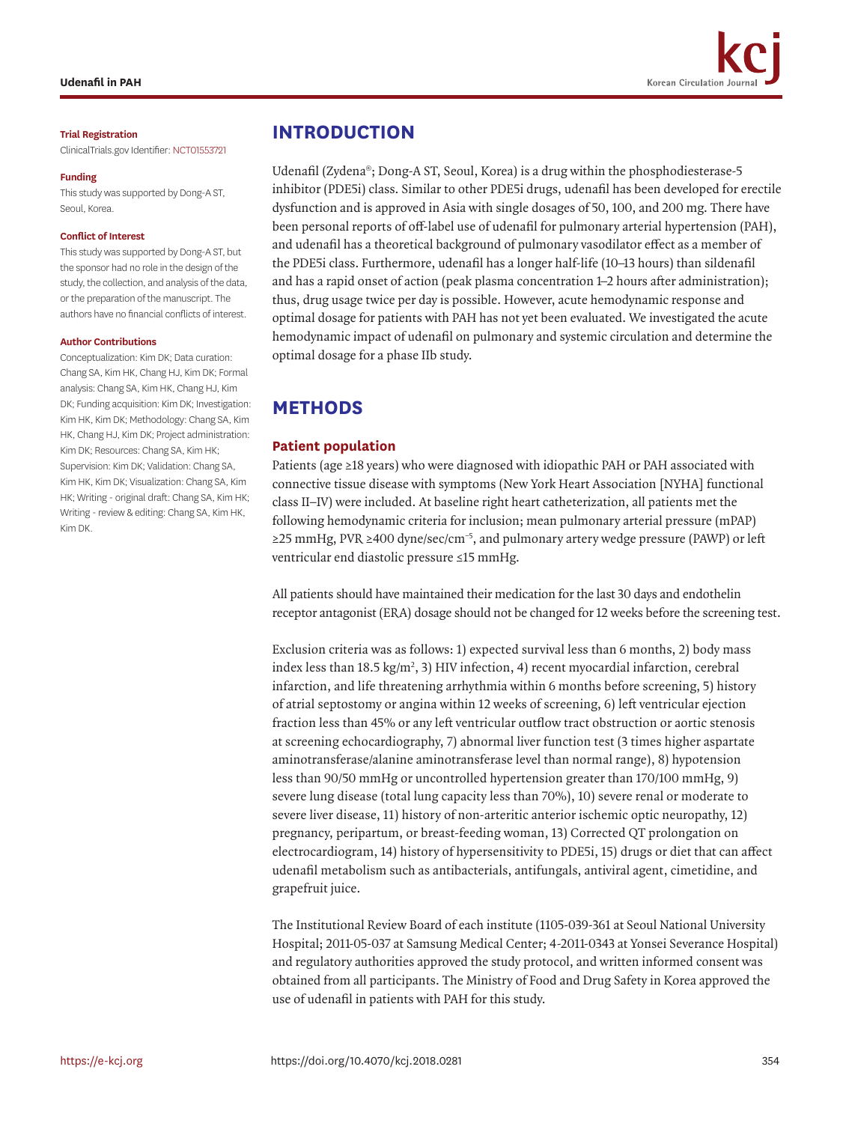

#### **Trial Registration**

ClinicalTrials.gov Identifier: [NCT01553721](http://clinicaltrials.gov/ct2/show/NCT01553721)

#### **Funding**

This study was supported by Dong-A ST, Seoul, Korea.

#### **Conflict of Interest**

This study was supported by Dong-A ST, but the sponsor had no role in the design of the study, the collection, and analysis of the data, or the preparation of the manuscript. The authors have no financial conflicts of interest.

### **Author Contributions**

Conceptualization: Kim DK; Data curation: Chang SA, Kim HK, Chang HJ, Kim DK; Formal analysis: Chang SA, Kim HK, Chang HJ, Kim DK; Funding acquisition: Kim DK; Investigation: Kim HK, Kim DK; Methodology: Chang SA, Kim HK, Chang HJ, Kim DK; Project administration: Kim DK; Resources: Chang SA, Kim HK; Supervision: Kim DK; Validation: Chang SA, Kim HK, Kim DK; Visualization: Chang SA, Kim HK; Writing - original draft: Chang SA, Kim HK; Writing - review & editing: Chang SA, Kim HK, Kim DK.

## **INTRODUCTION**

Udenafil (Zydena®; Dong-A ST, Seoul, Korea) is a drug within the phosphodiesterase-5 inhibitor (PDE5i) class. Similar to other PDE5i drugs, udenafil has been developed for erectile dysfunction and is approved in Asia with single dosages of 50, 100, and 200 mg. There have been personal reports of off-label use of udenafil for pulmonary arterial hypertension (PAH), and udenafil has a theoretical background of pulmonary vasodilator effect as a member of the PDE5i class. Furthermore, udenafil has a longer half-life (10–13 hours) than sildenafil and has a rapid onset of action (peak plasma concentration 1–2 hours after administration); thus, drug usage twice per day is possible. However, acute hemodynamic response and optimal dosage for patients with PAH has not yet been evaluated. We investigated the acute hemodynamic impact of udenafil on pulmonary and systemic circulation and determine the optimal dosage for a phase IIb study.

## **METHODS**

### **Patient population**

Patients (age ≥18 years) who were diagnosed with idiopathic PAH or PAH associated with connective tissue disease with symptoms (New York Heart Association [NYHA] functional class II–IV) were included. At baseline right heart catheterization, all patients met the following hemodynamic criteria for inclusion; mean pulmonary arterial pressure (mPAP) ≥25 mmHg, PVR ≥400 dyne/sec/cm−5, and pulmonary artery wedge pressure (PAWP) or left ventricular end diastolic pressure ≤15 mmHg.

All patients should have maintained their medication for the last 30 days and endothelin receptor antagonist (ERA) dosage should not be changed for 12 weeks before the screening test.

Exclusion criteria was as follows: 1) expected survival less than 6 months, 2) body mass index less than  $18.5 \text{ kg/m}^2$ , 3) HIV infection, 4) recent myocardial infarction, cerebral infarction, and life threatening arrhythmia within 6 months before screening, 5) history of atrial septostomy or angina within 12 weeks of screening, 6) left ventricular ejection fraction less than 45% or any left ventricular outflow tract obstruction or aortic stenosis at screening echocardiography, 7) abnormal liver function test (3 times higher aspartate aminotransferase/alanine aminotransferase level than normal range), 8) hypotension less than 90/50 mmHg or uncontrolled hypertension greater than 170/100 mmHg, 9) severe lung disease (total lung capacity less than 70%), 10) severe renal or moderate to severe liver disease, 11) history of non-arteritic anterior ischemic optic neuropathy, 12) pregnancy, peripartum, or breast-feeding woman, 13) Corrected QT prolongation on electrocardiogram, 14) history of hypersensitivity to PDE5i, 15) drugs or diet that can affect udenafil metabolism such as antibacterials, antifungals, antiviral agent, cimetidine, and grapefruit juice.

The Institutional Review Board of each institute (1105-039-361 at Seoul National University Hospital; 2011-05-037 at Samsung Medical Center; 4-2011-0343 at Yonsei Severance Hospital) and regulatory authorities approved the study protocol, and written informed consent was obtained from all participants. The Ministry of Food and Drug Safety in Korea approved the use of udenafil in patients with PAH for this study.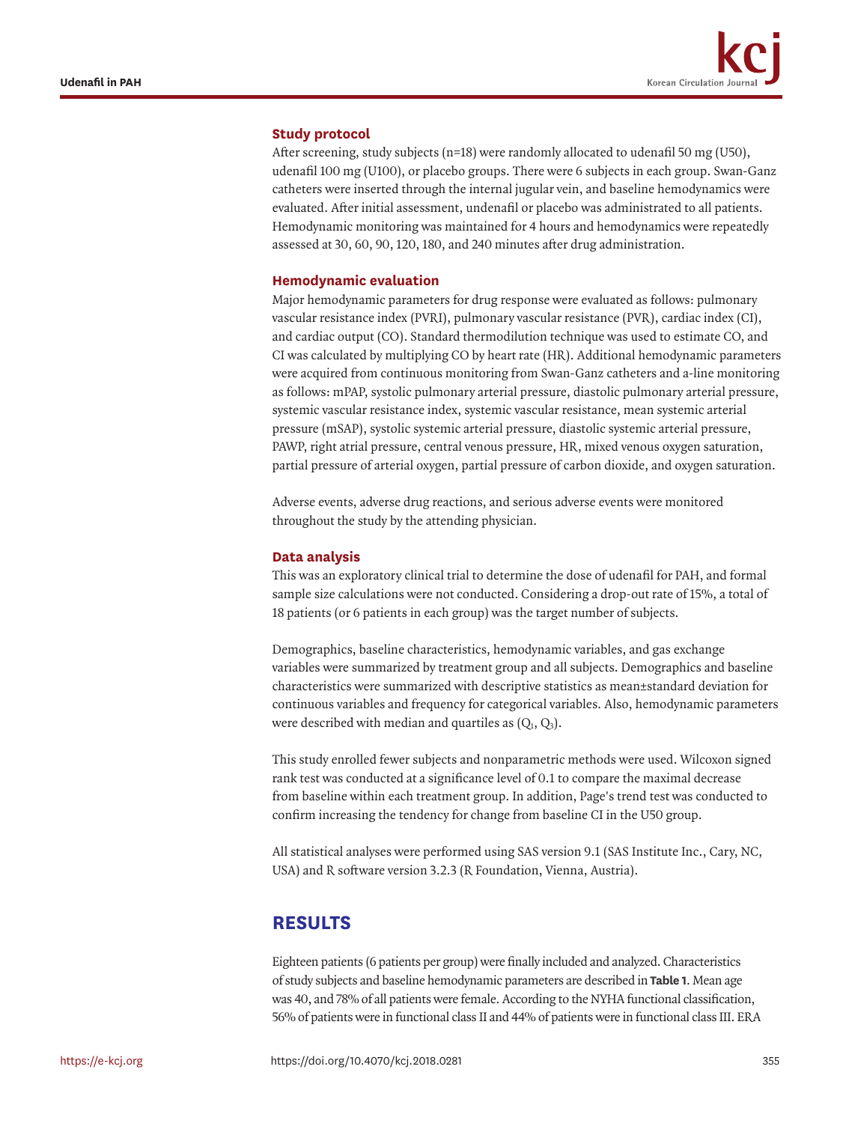### **Study protocol**

After screening, study subjects (n=18) were randomly allocated to udenafil 50 mg (U50), udenafil 100 mg (U100), or placebo groups. There were 6 subjects in each group. Swan-Ganz catheters were inserted through the internal jugular vein, and baseline hemodynamics were evaluated. After initial assessment, undenafil or placebo was administrated to all patients. Hemodynamic monitoring was maintained for 4 hours and hemodynamics were repeatedly assessed at 30, 60, 90, 120, 180, and 240 minutes after drug administration.

## **Hemodynamic evaluation**

Major hemodynamic parameters for drug response were evaluated as follows: pulmonary vascular resistance index (PVRI), pulmonary vascular resistance (PVR), cardiac index (CI), and cardiac output (CO). Standard thermodilution technique was used to estimate CO, and CI was calculated by multiplying CO by heart rate (HR). Additional hemodynamic parameters were acquired from continuous monitoring from Swan-Ganz catheters and a-line monitoring as follows: mPAP, systolic pulmonary arterial pressure, diastolic pulmonary arterial pressure, systemic vascular resistance index, systemic vascular resistance, mean systemic arterial pressure (mSAP), systolic systemic arterial pressure, diastolic systemic arterial pressure, PAWP, right atrial pressure, central venous pressure, HR, mixed venous oxygen saturation, partial pressure of arterial oxygen, partial pressure of carbon dioxide, and oxygen saturation.

Adverse events, adverse drug reactions, and serious adverse events were monitored throughout the study by the attending physician.

### **Data analysis**

This was an exploratory clinical trial to determine the dose of udenafil for PAH, and formal sample size calculations were not conducted. Considering a drop-out rate of 15%, a total of 18 patients (or 6 patients in each group) was the target number of subjects.

Demographics, baseline characteristics, hemodynamic variables, and gas exchange variables were summarized by treatment group and all subjects. Demographics and baseline characteristics were summarized with descriptive statistics as mean±standard deviation for continuous variables and frequency for categorical variables. Also, hemodynamic parameters were described with median and quartiles as  $(Q_1, Q_3)$ .

This study enrolled fewer subjects and nonparametric methods were used. Wilcoxon signed rank test was conducted at a significance level of 0.1 to compare the maximal decrease from baseline within each treatment group. In addition, Page's trend test was conducted to confirm increasing the tendency for change from baseline CI in the U50 group.

All statistical analyses were performed using SAS version 9.1 (SAS Institute Inc., Cary, NC, USA) and R software version 3.2.3 (R Foundation, Vienna, Austria).

## **RESULTS**

Eighteen patients (6 patients per group) were finally included and analyzed. Characteristics of study subjects and baseline hemodynamic parameters are described in **[Table 1](#page-3-0)**. Mean age was 40, and 78% of all patients were female. According to the NYHA functional classification, 56% of patients were in functional class II and 44% of patients were in functional class III. ERA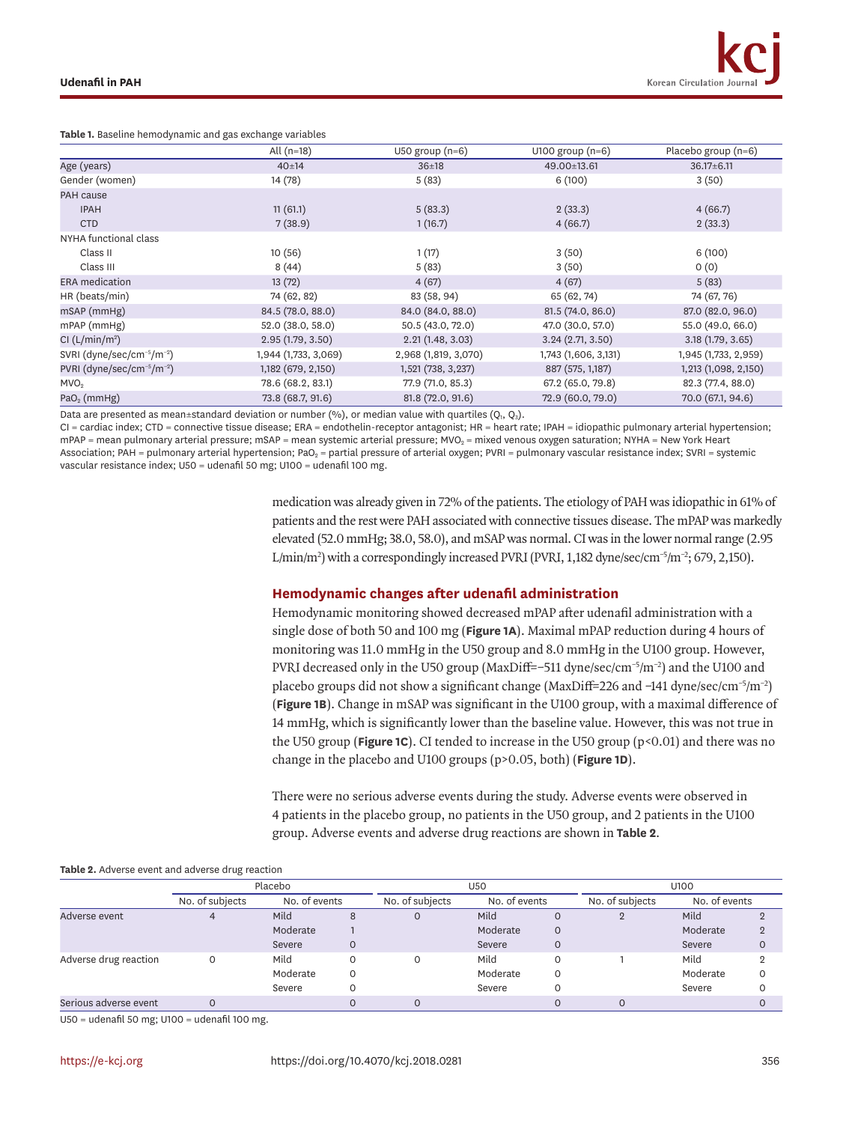<span id="page-3-0"></span>**Table 1.** Baseline hemodynamic and gas exchange variables

|                                                    | All $(n=18)$         | U50 group $(n=6)$    | U100 group $(n=6)$   | Placebo group $(n=6)$ |
|----------------------------------------------------|----------------------|----------------------|----------------------|-----------------------|
| Age (years)                                        | 40±14                | $36 \pm 18$          | 49.00±13.61          | $36.17 \pm 6.11$      |
| Gender (women)                                     | 14 (78)              | 5(83)                | 6(100)               | 3(50)                 |
| PAH cause                                          |                      |                      |                      |                       |
| <b>IPAH</b>                                        | 11(61.1)             | 5(83.3)              | 2(33.3)              | 4(66.7)               |
| <b>CTD</b>                                         | 7(38.9)              | 1(16.7)              | 4(66.7)              | 2(33.3)               |
| NYHA functional class                              |                      |                      |                      |                       |
| Class II                                           | 10(56)               | 1(17)                | 3(50)                | 6 (100)               |
| Class III                                          | 8(44)                | 5(83)                | 3(50)                | 0(0)                  |
| <b>ERA</b> medication                              | 13(72)               | 4(67)                | 4(67)                | 5(83)                 |
| HR (beats/min)                                     | 74 (62, 82)          | 83 (58, 94)          | 65 (62, 74)          | 74 (67, 76)           |
| mSAP (mmHg)                                        | 84.5 (78.0, 88.0)    | 84.0 (84.0, 88.0)    | 81.5 (74.0, 86.0)    | 87.0 (82.0, 96.0)     |
| mPAP (mmHg)                                        | 52.0 (38.0, 58.0)    | 50.5 (43.0, 72.0)    | 47.0 (30.0, 57.0)    | 55.0 (49.0, 66.0)     |
| CI $(L/min/m2)$                                    | 2.95(1.79, 3.50)     | 2.21(1.48, 3.03)     | 3.24(2.71, 3.50)     | 3.18(1.79, 3.65)      |
| SVRI (dyne/sec/cm <sup>-5</sup> /m <sup>-2</sup> ) | 1,944 (1,733, 3,069) | 2,968 (1,819, 3,070) | 1,743 (1,606, 3,131) | 1,945 (1,733, 2,959)  |
| PVRI (dyne/sec/cm <sup>-5</sup> /m <sup>-2</sup> ) | 1,182 (679, 2,150)   | 1,521 (738, 3,237)   | 887 (575, 1,187)     | 1,213 (1,098, 2,150)  |
| MVO <sub>2</sub>                                   | 78.6 (68.2, 83.1)    | 77.9 (71.0, 85.3)    | 67.2 (65.0, 79.8)    | 82.3 (77.4, 88.0)     |
| $PaO2$ (mmHg)                                      | 73.8 (68.7, 91.6)    | 81.8 (72.0, 91.6)    | 72.9 (60.0, 79.0)    | 70.0 (67.1, 94.6)     |

Data are presented as mean±standard deviation or number (%), or median value with quartiles ( $Q_1$ ,  $Q_3$ ).

CI = cardiac index; CTD = connective tissue disease; ERA = endothelin-receptor antagonist; HR = heart rate; IPAH = idiopathic pulmonary arterial hypertension; mPAP = mean pulmonary arterial pressure; mSAP = mean systemic arterial pressure; MVO<sub>2</sub> = mixed venous oxygen saturation; NYHA = New York Heart Association; PAH = pulmonary arterial hypertension; PaO<sub>2</sub> = partial pressure of arterial oxygen; PVRI = pulmonary vascular resistance index; SVRI = systemic vascular resistance index; U50 = udenafil 50 mg; U100 = udenafil 100 mg.

> medication was already given in 72% of the patients. The etiology of PAH was idiopathic in 61% of patients and the rest were PAH associated with connective tissues disease. The mPAP was markedly elevated (52.0 mmHg; 38.0, 58.0), and mSAP was normal. CI was in the lower normal range (2.95 L/min/m<sup>2</sup>) with a correspondingly increased PVRI (PVRI, 1,182 dyne/sec/cm<sup>-5</sup>/m<sup>-2</sup>; 679, 2,150).

### **Hemodynamic changes after udenafil administration**

Hemodynamic monitoring showed decreased mPAP after udenafil administration with a single dose of both 50 and 100 mg (**[Figure 1A](#page-4-0)**). Maximal mPAP reduction during 4 hours of monitoring was 11.0 mmHg in the U50 group and 8.0 mmHg in the U100 group. However, PVRI decreased only in the U50 group (MaxDiff=−511 dyne/sec/cm<sup>-5</sup>/m<sup>-2</sup>) and the U100 and placebo groups did not show a significant change (MaxDiff=226 and −141 dyne/sec/cm−5/m−2) (**[Figure 1B](#page-4-0)**). Change in mSAP was significant in the U100 group, with a maximal difference of 14 mmHg, which is significantly lower than the baseline value. However, this was not true in the U50 group (**[Figure 1C](#page-4-0)**). CI tended to increase in the U50 group (p<0.01) and there was no change in the placebo and U100 groups (p>0.05, both) (**[Figure 1D](#page-4-0)**).

There were no serious adverse events during the study. Adverse events were observed in 4 patients in the placebo group, no patients in the U50 group, and 2 patients in the U100 group. Adverse events and adverse drug reactions are shown in **[Table 2](#page-3-1)**.

<span id="page-3-1"></span>

| Table 2. Adverse event and adverse drug reaction |                 |               |   |                 |               |             |                 |               |          |  |  |  |
|--------------------------------------------------|-----------------|---------------|---|-----------------|---------------|-------------|-----------------|---------------|----------|--|--|--|
|                                                  | Placebo         |               |   | U50             |               | U100        |                 |               |          |  |  |  |
|                                                  | No. of subjects | No. of events |   | No. of subjects | No. of events |             | No. of subjects | No. of events |          |  |  |  |
| Adverse event                                    |                 | Mild          |   | O               | Mild          | 0           |                 | Mild          |          |  |  |  |
|                                                  |                 | Moderate      |   |                 | Moderate      | $\circ$     |                 | Moderate      |          |  |  |  |
|                                                  |                 | Severe        | 0 |                 | Severe        | $\mathbf 0$ |                 | Severe        | $\Omega$ |  |  |  |
| Adverse drug reaction                            |                 | Mild          | O | $\Omega$        | Mild          | 0           |                 | Mild          |          |  |  |  |
|                                                  |                 | Moderate      | 0 |                 | Moderate      | 0           |                 | Moderate      | $\Omega$ |  |  |  |
|                                                  |                 | Severe        | 0 |                 | Severe        | O           |                 | Severe        |          |  |  |  |
| Serious adverse event                            |                 |               |   | $\Omega$        |               |             | $\Omega$        |               |          |  |  |  |

 $U$ 50 = udenafil 50 mg; U100 = udenafil 100 mg.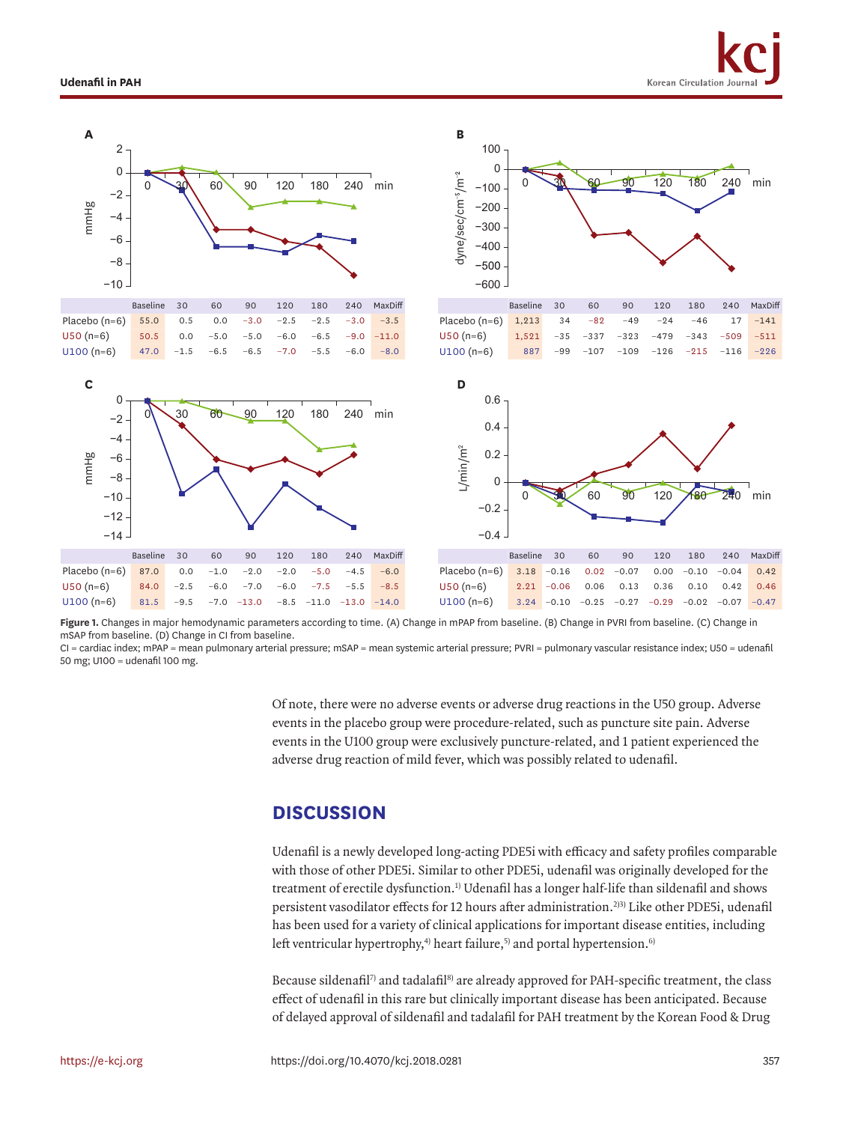

<span id="page-4-0"></span>**Figure 1.** Changes in major hemodynamic parameters according to time. (A) Change in mPAP from baseline. (B) Change in PVRI from baseline. (C) Change in mSAP from baseline. (D) Change in CI from baseline.

CI = cardiac index; mPAP = mean pulmonary arterial pressure; mSAP = mean systemic arterial pressure; PVRI = pulmonary vascular resistance index; U50 = udenafil 50 mg; U100 = udenafil 100 mg.

> Of note, there were no adverse events or adverse drug reactions in the U50 group. Adverse events in the placebo group were procedure-related, such as puncture site pain. Adverse events in the U100 group were exclusively puncture-related, and 1 patient experienced the adverse drug reaction of mild fever, which was possibly related to udenafil.

# **DISCUSSION**

<span id="page-4-2"></span><span id="page-4-1"></span>Udenafil is a newly developed long-acting PDE5i with efficacy and safety profiles comparable with those of other PDE5i. Similar to other PDE5i, udenafil was originally developed for the treatment of erectile dysfunction.[1\)](#page-6-0) Udenafil has a longer half-life than sildenafil and shows persistent vasodilator effects for 12 hours after administration[.2\)](#page-6-1)[3\)](#page-6-2) Like other PDE5i, udenafil has been used for a variety of clinical applications for important disease entities, including left ventricular hypertrophy,<sup>4)</sup> heart failure,<sup>5)</sup> and portal hypertension.<sup>[6\)](#page-6-5)</sup>

<span id="page-4-6"></span><span id="page-4-5"></span><span id="page-4-4"></span><span id="page-4-3"></span>Because sildenafil<sup>7)</sup> and tadalafil<sup>8)</sup> are already approved for PAH-specific treatment, the class effect of udenafil in this rare but clinically important disease has been anticipated. Because of delayed approval of sildenafil and tadalafil for PAH treatment by the Korean Food & Drug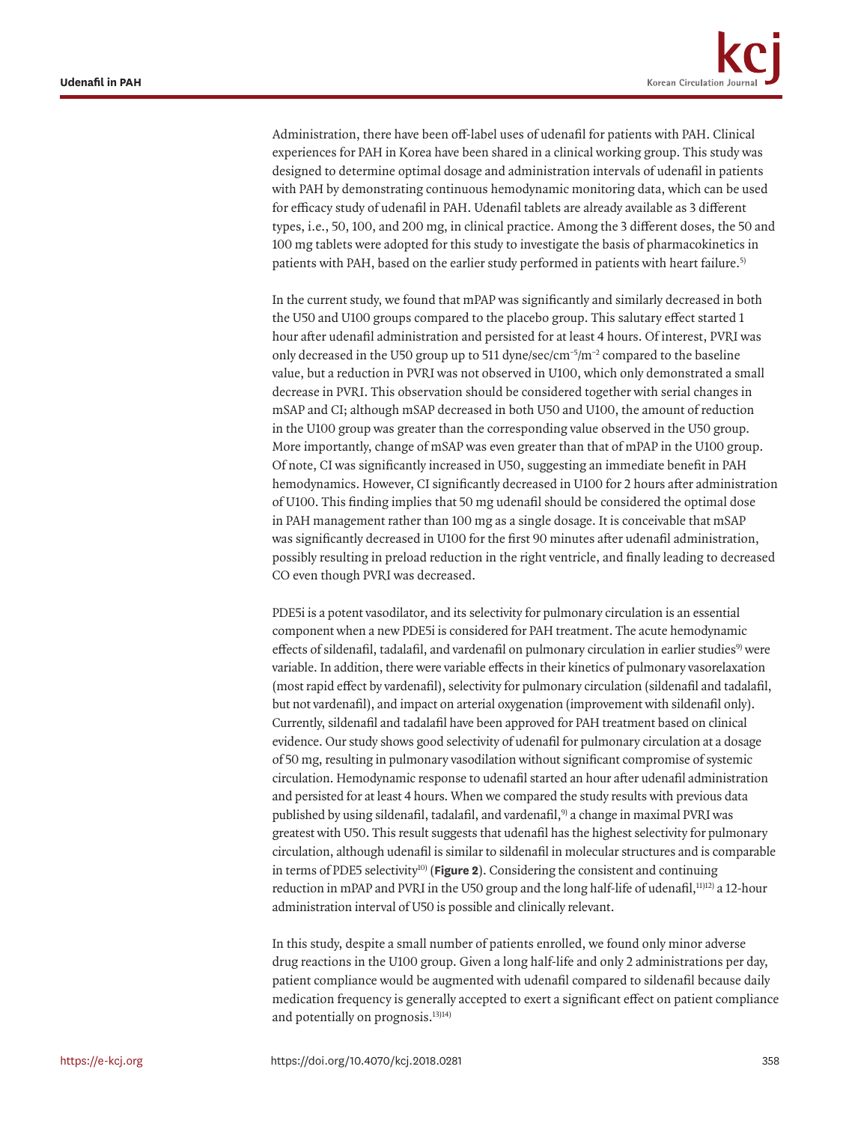Administration, there have been off-label uses of udenafil for patients with PAH. Clinical experiences for PAH in Korea have been shared in a clinical working group. This study was designed to determine optimal dosage and administration intervals of udenafil in patients with PAH by demonstrating continuous hemodynamic monitoring data, which can be used for efficacy study of udenafil in PAH. Udenafil tablets are already available as 3 different types, i.e., 50, 100, and 200 mg, in clinical practice. Among the 3 different doses, the 50 and 100 mg tablets were adopted for this study to investigate the basis of pharmacokinetics in patients with PAH, based on the earlier study performed in patients with heart failure.<sup>[5\)](#page-6-4)</sup>

<span id="page-5-0"></span>In the current study, we found that mPAP was significantly and similarly decreased in both the U50 and U100 groups compared to the placebo group. This salutary effect started 1 hour after udenafil administration and persisted for at least 4 hours. Of interest, PVRI was only decreased in the U50 group up to 511 dyne/sec/cm−5/m−2 compared to the baseline value, but a reduction in PVRI was not observed in U100, which only demonstrated a small decrease in PVRI. This observation should be considered together with serial changes in mSAP and CI; although mSAP decreased in both U50 and U100, the amount of reduction in the U100 group was greater than the corresponding value observed in the U50 group. More importantly, change of mSAP was even greater than that of mPAP in the U100 group. Of note, CI was significantly increased in U50, suggesting an immediate benefit in PAH hemodynamics. However, CI significantly decreased in U100 for 2 hours after administration of U100. This finding implies that 50 mg udenafil should be considered the optimal dose in PAH management rather than 100 mg as a single dosage. It is conceivable that mSAP was significantly decreased in U100 for the first 90 minutes after udenafil administration, possibly resulting in preload reduction in the right ventricle, and finally leading to decreased CO even though PVRI was decreased.

PDE5i is a potent vasodilator, and its selectivity for pulmonary circulation is an essential component when a new PDE5i is considered for PAH treatment. The acute hemodynamic effects of sildenafil, tadalafil, and vardenafil on pulmonary circulation in earlier studies<sup>9</sup>) were variable. In addition, there were variable effects in their kinetics of pulmonary vasorelaxation (most rapid effect by vardenafil), selectivity for pulmonary circulation (sildenafil and tadalafil, but not vardenafil), and impact on arterial oxygenation (improvement with sildenafil only). Currently, sildenafil and tadalafil have been approved for PAH treatment based on clinical evidence. Our study shows good selectivity of udenafil for pulmonary circulation at a dosage of 50 mg, resulting in pulmonary vasodilation without significant compromise of systemic circulation. Hemodynamic response to udenafil started an hour after udenafil administration and persisted for at least 4 hours. When we compared the study results with previous data published by using sildenafil, tadalafil, and vardenafil,<sup>[9\)](#page-7-1)</sup> a change in maximal PVRI was greatest with U50. This result suggests that udenafil has the highest selectivity for pulmonary circulation, although udenafil is similar to sildenafil in molecular structures and is comparable in terms of PDE5 selectivity<sup>10)</sup> (**[Figure 2](#page-6-7)**). Considering the consistent and continuing reduction in mPAP and PVRI in the U50 group and the long half-life of udenafil, $11/12$ ) a 12-hour administration interval of U50 is possible and clinically relevant.

<span id="page-5-4"></span><span id="page-5-3"></span><span id="page-5-2"></span><span id="page-5-1"></span>In this study, despite a small number of patients enrolled, we found only minor adverse drug reactions in the U100 group. Given a long half-life and only 2 administrations per day, patient compliance would be augmented with udenafil compared to sildenafil because daily medication frequency is generally accepted to exert a significant effect on patient compliance and potentially on prognosis.<sup>[13\)](#page-7-5)[14\)](#page-7-6)</sup>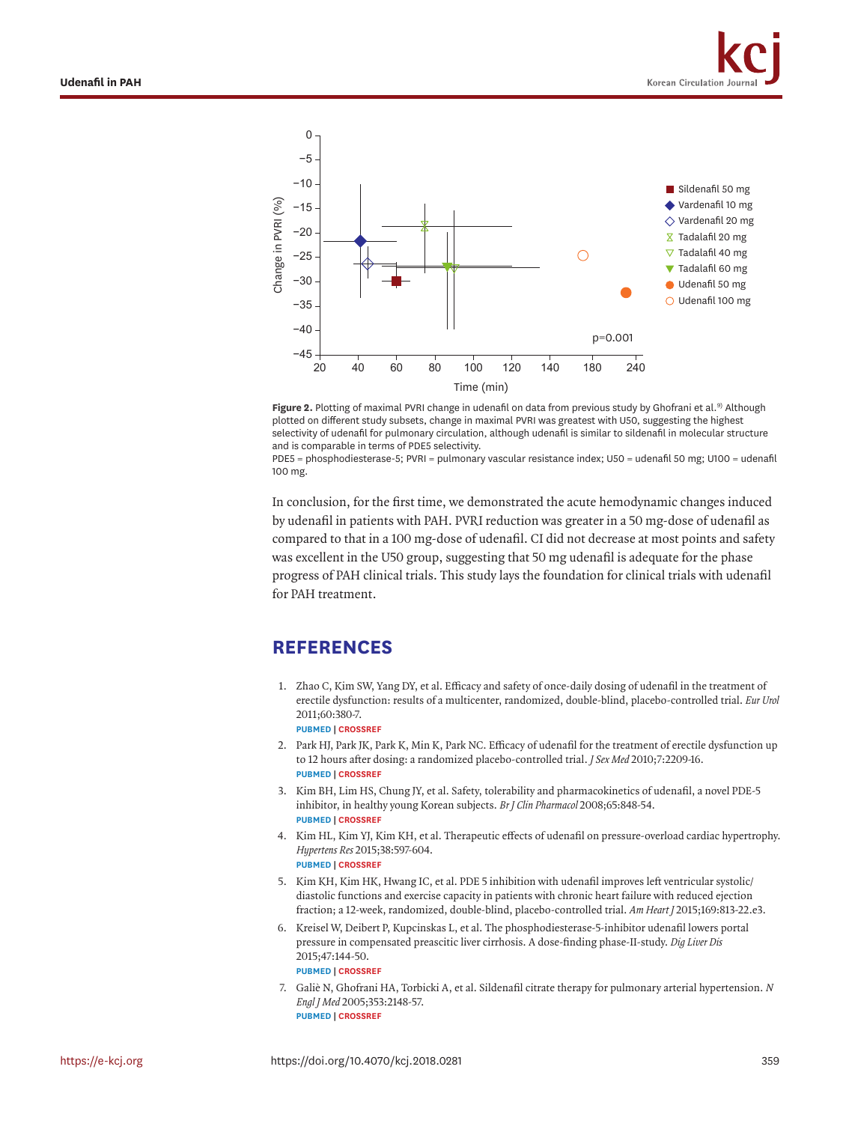

<span id="page-6-7"></span>Figure 2. Plotting of maximal PVRI change in udenafil on data from previous study by Ghofrani et al.<sup>9)</sup> Although plotted on different study subsets, change in maximal PVRI was greatest with U50, suggesting the highest selectivity of udenafil for pulmonary circulation, although udenafil is similar to sildenafil in molecular structure and is comparable in terms of PDE5 selectivity.

PDE5 = phosphodiesterase-5; PVRI = pulmonary vascular resistance index; U50 = udenafil 50 mg; U100 = udenafil 100 mg.

In conclusion, for the first time, we demonstrated the acute hemodynamic changes induced by udenafil in patients with PAH. PVRI reduction was greater in a 50 mg-dose of udenafil as compared to that in a 100 mg-dose of udenafil. CI did not decrease at most points and safety was excellent in the U50 group, suggesting that 50 mg udenafil is adequate for the phase progress of PAH clinical trials. This study lays the foundation for clinical trials with udenafil for PAH treatment.

# **REFERENCES**

<span id="page-6-0"></span>[1.](#page-4-1) Zhao C, Kim SW, Yang DY, et al. Efficacy and safety of once-daily dosing of udenafil in the treatment of erectile dysfunction: results of a multicenter, randomized, double-blind, placebo-controlled trial. *Eur Urol* 2011;60:380-7.

**[PUBMED](http://www.ncbi.nlm.nih.gov/pubmed/21458153) | [CROSSREF](https://doi.org/10.1016/j.eururo.2011.03.025)**

- <span id="page-6-1"></span>[2.](#page-4-2) Park HJ, Park JK, Park K, Min K, Park NC. Efficacy of udenafil for the treatment of erectile dysfunction up to 12 hours after dosing: a randomized placebo-controlled trial. *J Sex Med* 2010;7:2209-16. **[PUBMED](http://www.ncbi.nlm.nih.gov/pubmed/20412426) | [CROSSREF](https://doi.org/10.1111/j.1743-6109.2010.01817.x)**
- <span id="page-6-2"></span>[3.](#page-4-2) Kim BH, Lim HS, Chung JY, et al. Safety, tolerability and pharmacokinetics of udenafil, a novel PDE-5 inhibitor, in healthy young Korean subjects. *Br J Clin Pharmacol* 2008;65:848-54. **[PUBMED](http://www.ncbi.nlm.nih.gov/pubmed/18318773) | [CROSSREF](https://doi.org/10.1111/j.1365-2125.2008.03107.x)**
- <span id="page-6-3"></span>[4.](#page-4-3) Kim HL, Kim YJ, Kim KH, et al. Therapeutic effects of udenafil on pressure-overload cardiac hypertrophy. *Hypertens Res* 2015;38:597-604. **[PUBMED](http://www.ncbi.nlm.nih.gov/pubmed/25832922) | [CROSSREF](https://doi.org/10.1038/hr.2015.46)**

<span id="page-6-4"></span>[5.](#page-5-0) Kim KH, Kim HK, Hwang IC, et al. PDE 5 inhibition with udenafil improves left ventricular systolic/ diastolic functions and exercise capacity in patients with chronic heart failure with reduced ejection fraction; a 12-week, randomized, double-blind, placebo-controlled trial. *Am Heart J* 2015;169:813-22.e3.

<span id="page-6-5"></span>[6.](#page-4-4) Kreisel W, Deibert P, Kupcinskas L, et al. The phosphodiesterase-5-inhibitor udenafil lowers portal pressure in compensated preascitic liver cirrhosis. A dose-finding phase-II-study. *Dig Liver Dis* 2015;47:144-50.

**[PUBMED](http://www.ncbi.nlm.nih.gov/pubmed/25483910) | [CROSSREF](https://doi.org/10.1016/j.dld.2014.10.018)**

<span id="page-6-6"></span>[7.](#page-4-5) Galiè N, Ghofrani HA, Torbicki A, et al. Sildenafil citrate therapy for pulmonary arterial hypertension. *<sup>N</sup> Engl J Med* 2005;353:2148-57. **[PUBMED](http://www.ncbi.nlm.nih.gov/pubmed/16291984) | [CROSSREF](https://doi.org/10.1056/NEJMoa050010)**